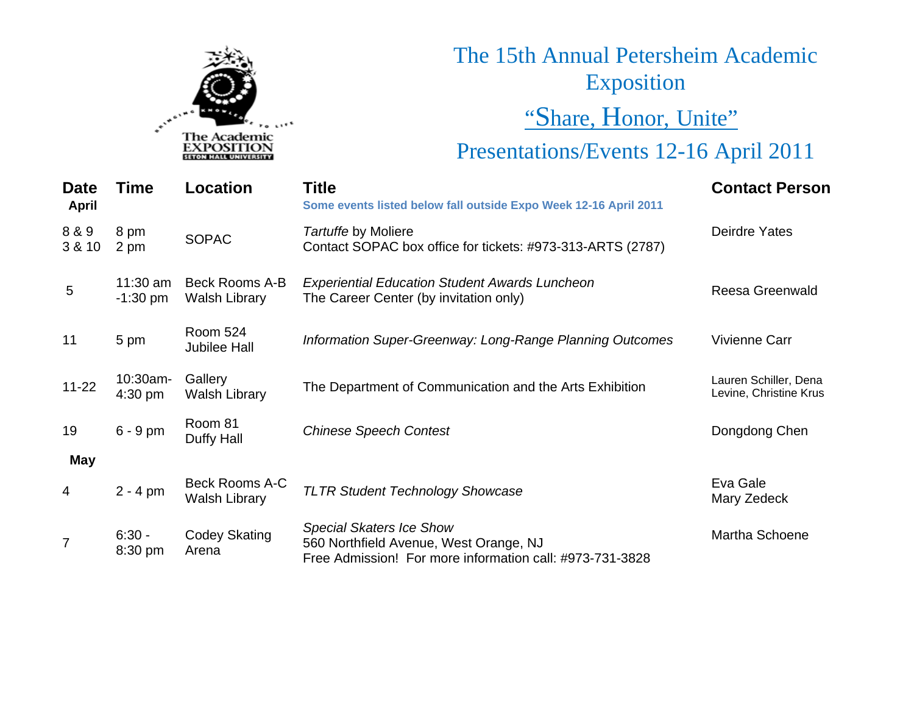

# The 15th Annual Petersheim Academic Exposition "Share, Honor, Unite"

# Presentations/Events 12-16 April 2011

| <b>Date</b><br><b>April</b> | <b>Time</b>              | Location                               | <b>Title</b><br>Some events listed below fall outside Expo Week 12-16 April 2011                                                      | <b>Contact Person</b>                           |
|-----------------------------|--------------------------|----------------------------------------|---------------------------------------------------------------------------------------------------------------------------------------|-------------------------------------------------|
| 8 & 9<br>3 & 10             | 8 pm<br>2 pm             | <b>SOPAC</b>                           | Tartuffe by Moliere<br>Contact SOPAC box office for tickets: #973-313-ARTS (2787)                                                     | Deirdre Yates                                   |
| $5\phantom{.0}$             | $11:30$ am<br>$-1:30$ pm | Beck Rooms A-B<br><b>Walsh Library</b> | <b>Experiential Education Student Awards Luncheon</b><br>The Career Center (by invitation only)                                       | <b>Reesa Greenwald</b>                          |
| 11                          | 5 pm                     | <b>Room 524</b><br><b>Jubilee Hall</b> | Information Super-Greenway: Long-Range Planning Outcomes                                                                              | Vivienne Carr                                   |
| $11 - 22$                   | $10:30$ am-<br>$4:30$ pm | Gallery<br><b>Walsh Library</b>        | The Department of Communication and the Arts Exhibition                                                                               | Lauren Schiller, Dena<br>Levine, Christine Krus |
| 19                          | $6 - 9$ pm               | Room 81<br>Duffy Hall                  | <b>Chinese Speech Contest</b>                                                                                                         | Dongdong Chen                                   |
| <b>May</b>                  |                          |                                        |                                                                                                                                       |                                                 |
| 4                           | $2 - 4$ pm               | Beck Rooms A-C<br><b>Walsh Library</b> | <b>TLTR Student Technology Showcase</b>                                                                                               | Eva Gale<br>Mary Zedeck                         |
| $\overline{7}$              | $6:30 -$<br>8:30 pm      | <b>Codey Skating</b><br>Arena          | <b>Special Skaters Ice Show</b><br>560 Northfield Avenue, West Orange, NJ<br>Free Admission! For more information call: #973-731-3828 | Martha Schoene                                  |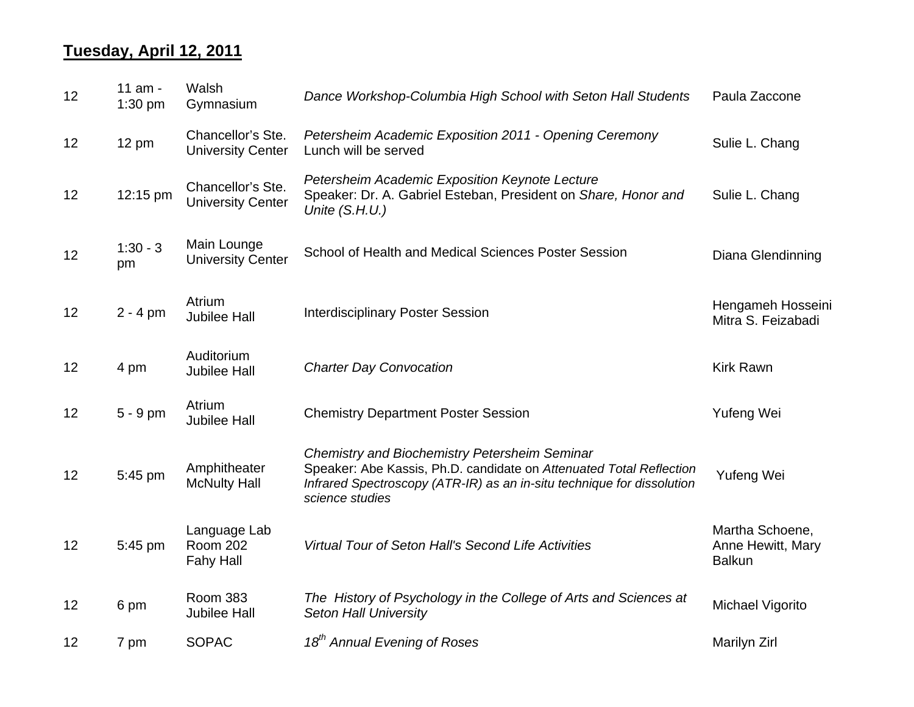### **Tuesday, April 12, 2011**

| 12 | 11 am -<br>$1:30$ pm | Walsh<br>Gymnasium                                  | Dance Workshop-Columbia High School with Seton Hall Students                                                                                                                                                             | Paula Zaccone                                         |
|----|----------------------|-----------------------------------------------------|--------------------------------------------------------------------------------------------------------------------------------------------------------------------------------------------------------------------------|-------------------------------------------------------|
| 12 | 12 pm                | Chancellor's Ste.<br><b>University Center</b>       | Petersheim Academic Exposition 2011 - Opening Ceremony<br>Lunch will be served                                                                                                                                           | Sulie L. Chang                                        |
| 12 | 12:15 pm             | Chancellor's Ste.<br><b>University Center</b>       | Petersheim Academic Exposition Keynote Lecture<br>Speaker: Dr. A. Gabriel Esteban, President on Share, Honor and<br>Unite (S.H.U.)                                                                                       | Sulie L. Chang                                        |
| 12 | $1:30 - 3$<br>pm     | Main Lounge<br><b>University Center</b>             | School of Health and Medical Sciences Poster Session                                                                                                                                                                     | Diana Glendinning                                     |
| 12 | $2 - 4$ pm           | Atrium<br><b>Jubilee Hall</b>                       | <b>Interdisciplinary Poster Session</b>                                                                                                                                                                                  | Hengameh Hosseini<br>Mitra S. Feizabadi               |
| 12 | 4 pm                 | Auditorium<br><b>Jubilee Hall</b>                   | <b>Charter Day Convocation</b>                                                                                                                                                                                           | <b>Kirk Rawn</b>                                      |
| 12 | 5 - 9 pm             | Atrium<br><b>Jubilee Hall</b>                       | <b>Chemistry Department Poster Session</b>                                                                                                                                                                               | Yufeng Wei                                            |
| 12 | 5:45 pm              | Amphitheater<br><b>McNulty Hall</b>                 | <b>Chemistry and Biochemistry Petersheim Seminar</b><br>Speaker: Abe Kassis, Ph.D. candidate on Attenuated Total Reflection<br>Infrared Spectroscopy (ATR-IR) as an in-situ technique for dissolution<br>science studies | Yufeng Wei                                            |
| 12 | 5:45 pm              | Language Lab<br><b>Room 202</b><br><b>Fahy Hall</b> | Virtual Tour of Seton Hall's Second Life Activities                                                                                                                                                                      | Martha Schoene,<br>Anne Hewitt, Mary<br><b>Balkun</b> |
| 12 | 6 pm                 | <b>Room 383</b><br><b>Jubilee Hall</b>              | The History of Psychology in the College of Arts and Sciences at<br><b>Seton Hall University</b>                                                                                                                         | Michael Vigorito                                      |
| 12 | 7 pm                 | <b>SOPAC</b>                                        | 18 <sup>th</sup> Annual Evening of Roses                                                                                                                                                                                 | Marilyn Zirl                                          |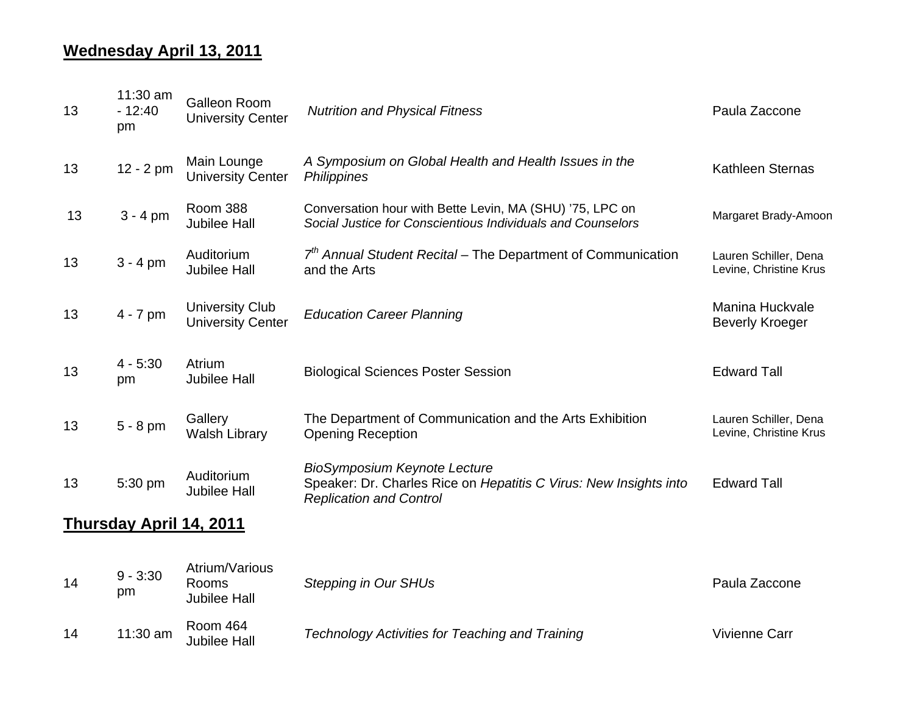### **Wednesday April 13, 2011**

| 13                             | 11:30 am<br>$-12:40$<br>pm | <b>Galleon Room</b><br><b>University Center</b>    | <b>Nutrition and Physical Fitness</b>                                                                                                      | Paula Zaccone                                   |
|--------------------------------|----------------------------|----------------------------------------------------|--------------------------------------------------------------------------------------------------------------------------------------------|-------------------------------------------------|
| 13                             | $12 - 2 pm$                | Main Lounge<br><b>University Center</b>            | A Symposium on Global Health and Health Issues in the<br>Philippines                                                                       | Kathleen Sternas                                |
| 13                             | $3 - 4$ pm                 | <b>Room 388</b><br><b>Jubilee Hall</b>             | Conversation hour with Bette Levin, MA (SHU) '75, LPC on<br>Social Justice for Conscientious Individuals and Counselors                    | Margaret Brady-Amoon                            |
| 13                             | $3 - 4$ pm                 | Auditorium<br><b>Jubilee Hall</b>                  | $7th$ Annual Student Recital – The Department of Communication<br>and the Arts                                                             | Lauren Schiller, Dena<br>Levine, Christine Krus |
| 13                             | $4 - 7$ pm                 | <b>University Club</b><br><b>University Center</b> | <b>Education Career Planning</b>                                                                                                           | Manina Huckvale<br><b>Beverly Kroeger</b>       |
| 13                             | $4 - 5:30$<br>pm           | Atrium<br><b>Jubilee Hall</b>                      | <b>Biological Sciences Poster Session</b>                                                                                                  | <b>Edward Tall</b>                              |
| 13                             | $5 - 8$ pm                 | Gallery<br><b>Walsh Library</b>                    | The Department of Communication and the Arts Exhibition<br><b>Opening Reception</b>                                                        | Lauren Schiller, Dena<br>Levine, Christine Krus |
| 13                             | 5:30 pm                    | Auditorium<br><b>Jubilee Hall</b>                  | <b>BioSymposium Keynote Lecture</b><br>Speaker: Dr. Charles Rice on Hepatitis C Virus: New Insights into<br><b>Replication and Control</b> | <b>Edward Tall</b>                              |
| <b>Thursday April 14, 2011</b> |                            |                                                    |                                                                                                                                            |                                                 |
| 14                             | $9 - 3:30$<br>pm           | Atrium/Various<br>Rooms<br><b>Jubilee Hall</b>     | <b>Stepping in Our SHUs</b>                                                                                                                | Paula Zaccone                                   |
| 14                             | 11:30 am                   | Room 464<br><b>Jubilee Hall</b>                    | <b>Technology Activities for Teaching and Training</b>                                                                                     | <b>Vivienne Carr</b>                            |